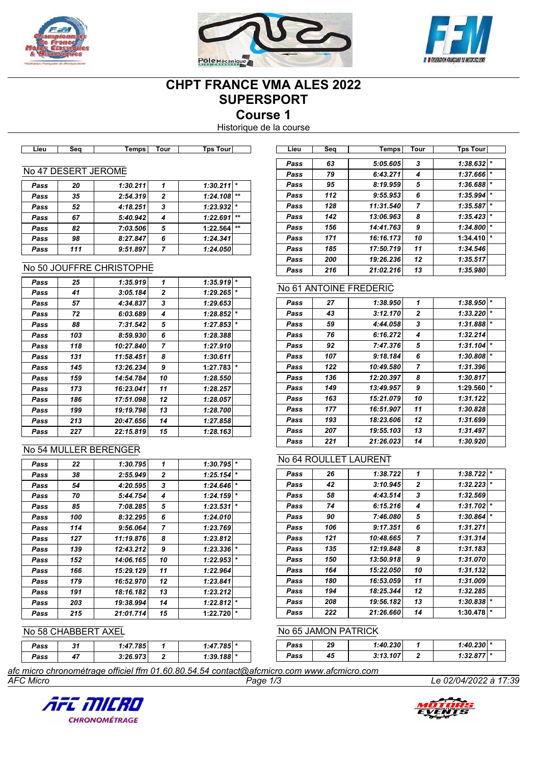





# **CHPT FRANCE VMA ALES 2022 SUPERSPORT**

**Course 1**

Historique de la course

| ∟ie∪ | 50 P<br>ж | <b>Temps</b> | rour | Tour<br><b>T</b> ps | ∟ie∪ | Seo | Temps | Tour | Tps<br><b>TOU'</b> |
|------|-----------|--------------|------|---------------------|------|-----|-------|------|--------------------|
|      |           |              |      |                     |      |     |       |      |                    |

### No 47 DESERT JEROME

| Pass | 20  | 1:30.211 |   | $1:30.211$ * |       |
|------|-----|----------|---|--------------|-------|
| Pass | 35  | 2:54.319 | 2 | 1:24.108     | $**$  |
| Pass | 52  | 4:18.251 | 3 | $1:23.932$ * |       |
| Pass | 67  | 5:40.942 | 4 | 1:22.691     | $***$ |
| Pass | 82  | 7:03.506 | 5 | 1:22.564     | $**$  |
| Pass | 98  | 8:27.847 | 6 | 1:24.341     |       |
| Pass | 111 | 9:51.897 |   | 1:24.050     |       |
|      |     |          |   |              |       |

#### No 50 JOUFFRE CHRISTOPHE

| Pass | 25  | 1:35.919  | 1  | 1:35.919 | $\star$ |
|------|-----|-----------|----|----------|---------|
| Pass | 41  | 3:05.184  | 2  | 1:29.265 | $\star$ |
| Pass | 57  | 4:34.837  | 3  | 1:29.653 |         |
| Pass | 72  | 6:03.689  | 4  | 1:28.852 | $\star$ |
| Pass | 88  | 7:31.542  | 5  | 1:27.853 | $\star$ |
| Pass | 103 | 8:59.930  | 6  | 1:28.388 |         |
| Pass | 118 | 10:27.840 | 7  | 1:27.910 |         |
| Pass | 131 | 11:58.451 | 8  | 1:30.611 |         |
| Pass | 145 | 13:26.234 | 9  | 1:27.783 | $\star$ |
| Pass | 159 | 14:54.784 | 10 | 1:28.550 |         |
| Pass | 173 | 16:23.041 | 11 | 1:28.257 |         |
| Pass | 186 | 17:51.098 | 12 | 1:28.057 |         |
| Pass | 199 | 19:19.798 | 13 | 1:28.700 |         |
| Pass | 213 | 20:47.656 | 14 | 1:27.858 |         |
| Pass | 227 | 22:15.819 | 15 | 1:28.163 |         |

### No 54 MULLER BERENGER

| Pass | 22  | 1:30.795  | 1            | 1:30.795 | $\star$ |
|------|-----|-----------|--------------|----------|---------|
| Pass | 38  | 2:55.949  | $\mathbf{2}$ | 1:25.154 | $\star$ |
| Pass | 54  | 4:20.595  | 3            | 1:24.646 | $\star$ |
| Pass | 70  | 5:44.754  | 4            | 1:24.159 | $\star$ |
| Pass | 85  | 7:08.285  | 5            | 1:23.531 | *       |
| Pass | 100 | 8:32.295  | 6            | 1:24.010 |         |
| Pass | 114 | 9:56.064  | 7            | 1:23.769 |         |
| Pass | 127 | 11:19.876 | 8            | 1:23.812 |         |
| Pass | 139 | 12:43.212 | 9            | 1:23.336 | $\star$ |
| Pass | 152 | 14:06.165 | 10           | 1:22.953 | *       |
| Pass | 166 | 15:29.129 | 11           | 1:22.964 |         |
| Pass | 179 | 16:52.970 | 12           | 1:23.841 |         |
| Pass | 191 | 18:16.182 | 13           | 1:23.212 |         |
| Pass | 203 | 19:38.994 | 14           | 1:22.812 | $\star$ |
| Pass | 215 | 21:01.714 | 15           | 1:22.720 | $\ast$  |

# No 58 CHABBERT AXEL

| Pass | Λ. | 1:47.785 | 1:47.785 *  |  | Pass | 29     | 1:40.230 | $1:40.230$  *       |  |
|------|----|----------|-------------|--|------|--------|----------|---------------------|--|
| Pass |    | 3:26.973 | 1:39.188  * |  | Pass | <br>45 | 3:13.107 | 1.229.077<br>0.36 ا |  |

*AFC Micro Page 1/3 Le 02/04/2022 à 17:39 afc micro chronométrage officiel ffm 01.60.80.54.54 contact@afcmicro.com www.afcmicro.com*





| Lieu | Sea | Temps     | Tour | Tps Tour            |
|------|-----|-----------|------|---------------------|
|      |     |           |      |                     |
| Pass | 63  | 5:05.605  | 3    | 1:38.632<br>$\star$ |
| Pass | 79  | 6:43.271  | 4    | $\star$<br>1:37.666 |
| Pass | 95  | 8:19.959  | 5    | $\star$<br>1:36.688 |
| Pass | 112 | 9:55.953  | 6    | $\star$<br>1:35.994 |
| Pass | 128 | 11:31.540 | 7    | $\star$<br>1:35.587 |
| Pass | 142 | 13:06.963 | 8    | $\star$<br>1:35.423 |
| Pass | 156 | 14:41.763 | 9    | $\star$<br>1:34.800 |
| Pass | 171 | 16:16.173 | 10   | $\star$<br>1:34.410 |
| Pass | 185 | 17:50.719 | 11   | 1:34.546            |
| Pass | 200 | 19:26.236 | 12   | 1:35.517            |
| Pass | 216 | 21:02.216 | 13   | 1:35.980            |

#### No 61 ANTOINE FREDERIC

| Pass | 27  | 1:38.950  | 1              | 1:38.950 | $\star$ |
|------|-----|-----------|----------------|----------|---------|
| Pass | 43  | 3:12.170  | $\overline{2}$ | 1:33.220 | $\star$ |
| Pass | 59  | 4:44.058  | 3              | 1:31.888 | $\star$ |
| Pass | 76  | 6:16.272  | 4              | 1:32.214 |         |
| Pass | 92  | 7:47.376  | 5              | 1:31.104 | $\star$ |
| Pass | 107 | 9:18.184  | 6              | 1:30.808 | $\star$ |
| Pass | 122 | 10:49.580 | 7              | 1:31.396 |         |
| Pass | 136 | 12:20.397 | 8              | 1:30.817 |         |
| Pass | 149 | 13:49.957 | 9              | 1:29.560 | $\star$ |
| Pass | 163 | 15:21.079 | 10             | 1:31.122 |         |
| Pass | 177 | 16:51.907 | 11             | 1:30.828 |         |
| Pass | 193 | 18:23.606 | 12             | 1:31.699 |         |
| Pass | 207 | 19:55.103 | 13             | 1:31.497 |         |
| Pass | 221 | 21:26.023 | 14             | 1:30.920 |         |

## No 64 ROULLET LAURENT

| Pass | 26  | 1:38.722  | 1            | 1:38.722 | $\star$ |
|------|-----|-----------|--------------|----------|---------|
| Pass | 42  | 3:10.945  | $\mathbf{2}$ | 1:32.223 | $\star$ |
| Pass | 58  | 4:43.514  | 3            | 1:32.569 |         |
| Pass | 74  | 6:15.216  | 4            | 1:31.702 | $\ast$  |
| Pass | 90  | 7:46.080  | 5            | 1:30.864 | $\star$ |
| Pass | 106 | 9:17.351  | 6            | 1:31.271 |         |
| Pass | 121 | 10:48.665 | 7            | 1:31.314 |         |
| Pass | 135 | 12:19.848 | 8            | 1:31.183 |         |
| Pass | 150 | 13:50.918 | 9            | 1:31.070 |         |
| Pass | 164 | 15:22.050 | 10           | 1:31.132 |         |
| Pass | 180 | 16:53.059 | 11           | 1:31.009 |         |
| Pass | 194 | 18:25.344 | 12           | 1:32.285 |         |
| Pass | 208 | 19:56.182 | 13           | 1:30.838 | $\star$ |
| Pass | 222 | 21:26.660 | 14           | 1:30.478 | $\star$ |

# No 65 JAMON PATRICK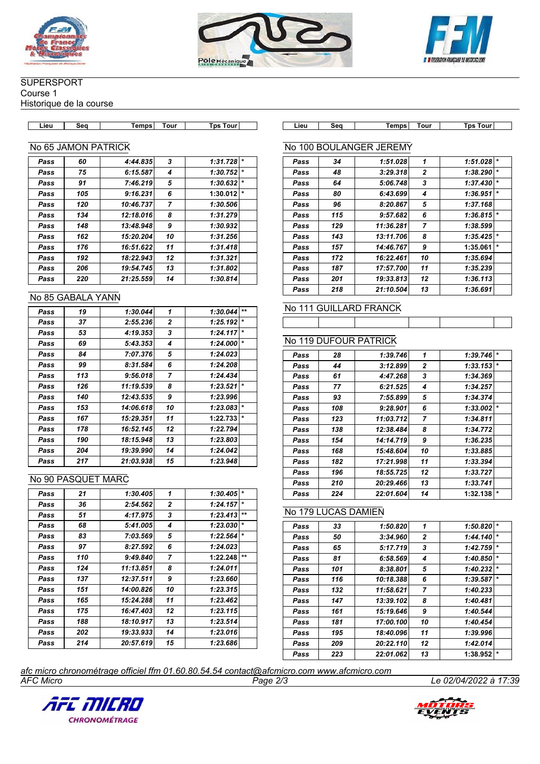





### **SUPERSPORT**

Course 1

Historique de la course

| Lieu | sea | Temps | rour | ⊺ps<br>rour | Lieu | --<br>חב<br>əw | <b>Temps</b> | Tour | Tp:<br>. our |
|------|-----|-------|------|-------------|------|----------------|--------------|------|--------------|

#### No 65 JAMON PATRICK

| Pass | 60  | 4:44.835  | 3              | 1:31.728            |
|------|-----|-----------|----------------|---------------------|
| Pass | 75  | 6:15.587  | 4              | $\star$<br>1:30.752 |
| Pass | 91  | 7:46.219  | 5              | $\star$<br>1:30.632 |
| Pass | 105 | 9:16.231  | 6              | $\star$<br>1:30.012 |
| Pass | 120 | 10:46.737 | $\overline{7}$ | 1:30.506            |
| Pass | 134 | 12:18.016 | 8              | 1:31.279            |
| Pass | 148 | 13:48.948 | 9              | 1:30.932            |
| Pass | 162 | 15:20.204 | 10             | 1:31.256            |
| Pass | 176 | 16:51.622 | 11             | 1:31.418            |
| Pass | 192 | 18:22.943 | 12             | 1:31.321            |
| Pass | 206 | 19:54.745 | 13             | 1:31.802            |
| Pass | 220 | 21:25.559 | 14             | 1:30.814            |
|      |     |           |                |                     |

#### No 85 GABALA YANN

| Pass | 19  | 1:30.044  | 1  | 1:30.044 | $+ +$   |
|------|-----|-----------|----|----------|---------|
| Pass | 37  | 2:55.236  | 2  | 1:25.192 | $\star$ |
| Pass | 53  | 4:19.353  | 3  | 1:24.117 | $\star$ |
| Pass | 69  | 5:43.353  | 4  | 1:24.000 | $\star$ |
| Pass | 84  | 7:07.376  | 5  | 1:24.023 |         |
| Pass | 99  | 8:31.584  | 6  | 1:24.208 |         |
| Pass | 113 | 9:56.018  | 7  | 1:24.434 |         |
| Pass | 126 | 11:19.539 | 8  | 1:23.521 | $\star$ |
| Pass | 140 | 12:43.535 | 9  | 1:23.996 |         |
| Pass | 153 | 14:06.618 | 10 | 1:23.083 | $\star$ |
| Pass | 167 | 15:29.351 | 11 | 1:22.733 | $\star$ |
| Pass | 178 | 16:52.145 | 12 | 1:22.794 |         |
| Pass | 190 | 18:15.948 | 13 | 1:23.803 |         |
| Pass | 204 | 19:39.990 | 14 | 1:24.042 |         |
| Pass | 217 | 21:03.938 | 15 | 1:23.948 |         |

#### No 90 PASQUET MARC

| Pass | 21  | 1:30.405  | 1  | 1:30.405 | $\star$ |
|------|-----|-----------|----|----------|---------|
| Pass | 36  | 2:54.562  | 2  | 1:24.157 | $\star$ |
| Pass | 51  | 4:17.975  | 3  | 1:23.413 | $+1$    |
| Pass | 68  | 5:41.005  | 4  | 1:23.030 | $\star$ |
| Pass | 83  | 7:03.569  | 5  | 1:22.564 | $\star$ |
| Pass | 97  | 8:27.592  | 6  | 1:24.023 |         |
| Pass | 110 | 9:49.840  | 7  | 1:22.248 | $**$    |
| Pass | 124 | 11:13.851 | 8  | 1:24.011 |         |
| Pass | 137 | 12:37.511 | 9  | 1:23.660 |         |
| Pass | 151 | 14:00.826 | 10 | 1:23.315 |         |
| Pass | 165 | 15:24.288 | 11 | 1:23.462 |         |
| Pass | 175 | 16:47.403 | 12 | 1:23.115 |         |
| Pass | 188 | 18:10.917 | 13 | 1:23.514 |         |
| Pass | 202 | 19:33.933 | 14 | 1:23.016 |         |
| Pass | 214 | 20:57.619 | 15 | 1:23.686 |         |

┑

### No 100 BOULANGER JEREMY

| Pass | 34  | 1:51.028  | 1              | 1:51.028 |         |
|------|-----|-----------|----------------|----------|---------|
| Pass | 48  | 3:29.318  | $\mathbf{2}$   | 1:38.290 | $\star$ |
| Pass | 64  | 5:06.748  | 3              | 1:37.430 | $\ast$  |
| Pass | 80  | 6:43.699  | 4              | 1:36.951 | $\star$ |
| Pass | 96  | 8:20.867  | 5              | 1:37.168 |         |
| Pass | 115 | 9:57.682  | 6              | 1:36.815 | $\star$ |
| Pass | 129 | 11:36.281 | $\overline{7}$ | 1:38.599 |         |
| Pass | 143 | 13:11.706 | 8              | 1:35.425 | $\star$ |
| Pass | 157 | 14:46.767 | 9              | 1:35.061 | $\star$ |
| Pass | 172 | 16:22.461 | 10             | 1:35.694 |         |
| Pass | 187 | 17:57.700 | 11             | 1:35.239 |         |
| Pass | 201 | 19:33.813 | 12             | 1:36.113 |         |
| Pass | 218 | 21:10.504 | 13             | 1:36.691 |         |

# No 111 GUILLARD FRANCK

### No 119 DUFOUR PATRICK

| Pass | 28  | 1:39.746  | 1              | 1:39.746 | $\star$ |
|------|-----|-----------|----------------|----------|---------|
| Pass | 44  | 3:12.899  | $\mathbf{2}$   | 1:33.153 | $\star$ |
| Pass | 61  | 4:47.268  | 3              | 1:34.369 |         |
| Pass | 77  | 6:21.525  | 4              | 1:34.257 |         |
| Pass | 93  | 7:55.899  | 5              | 1:34.374 |         |
| Pass | 108 | 9:28.901  | 6              | 1:33.002 | $\star$ |
| Pass | 123 | 11:03.712 | $\overline{7}$ | 1:34.811 |         |
| Pass | 138 | 12:38.484 | 8              | 1:34.772 |         |
| Pass | 154 | 14:14.719 | 9              | 1:36.235 |         |
| Pass | 168 | 15:48.604 | 10             | 1:33.885 |         |
| Pass | 182 | 17:21.998 | 11             | 1:33.394 |         |
| Pass | 196 | 18:55.725 | 12             | 1:33.727 |         |
| Pass | 210 | 20:29.466 | 13             | 1:33.741 |         |
| Pass | 224 | 22:01.604 | 14             | 1:32.138 | $\star$ |

# No 179 LUCAS DAMIEN

| Pass | 33  | 1:50.820  | 1              | 1:50.820 | $\star$ |
|------|-----|-----------|----------------|----------|---------|
| Pass | 50  | 3:34.960  | $\overline{2}$ | 1:44.140 | $\star$ |
| Pass | 65  | 5:17.719  | 3              | 1:42.759 | $\star$ |
| Pass | 81  | 6:58.569  | 4              | 1:40.850 | $\star$ |
| Pass | 101 | 8:38.801  | 5              | 1:40.232 | $\star$ |
| Pass | 116 | 10:18.388 | 6              | 1:39.587 | $\star$ |
| Pass | 132 | 11:58.621 | $\overline{7}$ | 1:40.233 |         |
| Pass | 147 | 13:39.102 | 8              | 1:40.481 |         |
| Pass | 161 | 15:19.646 | 9              | 1:40.544 |         |
| Pass | 181 | 17:00.100 | 10             | 1:40.454 |         |
| Pass | 195 | 18:40.096 | 11             | 1:39.996 |         |
| Pass | 209 | 20:22.110 | 12             | 1:42.014 |         |
| Pass | 223 | 22:01.062 | 13             | 1:38.952 | $\star$ |
|      |     |           |                |          |         |

*AFC Micro Page 2/3 Le 02/04/2022 à 17:39 afc micro chronométrage officiel ffm 01.60.80.54.54 contact@afcmicro.com www.afcmicro.com*